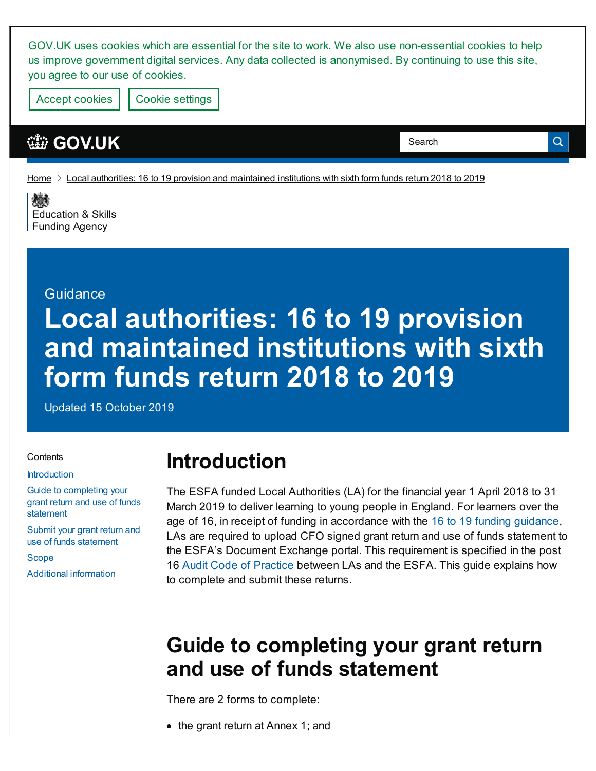GOV.UK uses cookies which are essential for the site to work. We also use non-essential cookies to help us improve government digital services. Any data collected is anonymised. By continuing to use this site, you agree to our use of cookies.

Accept cookies | Cookie [settings](https://www.gov.uk/help/cookies)

### **[GOV.UK](https://www.gov.uk)**

Search

Q

[Home](https://www.gov.uk/)  $\geq$  Local authorities: 16 to 19 provision and [maintained](https://www.gov.uk/government/publications/local-authorities-grant-return-and-use-of-funds-statement) institutions with sixth form funds return 2018 to 2019

戀 [Education](https://www.gov.uk/government/organisations/education-and-skills-funding-agency) & Skills Funding Agency

#### **Guidance**

# **Local authorities: 16 to 19 provision and maintained institutions with sixth form funds return 2018 to 2019**

Updated 15 October 2019

#### **Contents**

#### **[Introduction](#page-0-0)**

Guide to [completing](#page-0-1) your grant return and use of funds statement

Submit your grant return and use of funds [statement](#page-1-0)

[Scope](#page-2-0)

Additional [information](#page-3-0)

# <span id="page-0-0"></span>**Introduction**

The ESFA funded Local Authorities (LA) for the financial year 1 April 2018 to 31 March 2019 to deliver learning to young people in England. For learners over the age of 16, in receipt of funding in accordance with the 16 to 19 funding [guidance](https://www.gov.uk/guidance/16-to-19-education-funding-guidance), LAs are required to upload CFO signed grant return and use of funds statement to the ESFA's Document Exchange portal. This requirement is specified in the post 16 Audit Code of [Practice](https://www.gov.uk/government/publications/sfa-financial-assurance-joint-audit-code-of-practice) between LAs and the ESFA. This guide explains how to complete and submit these returns.

# <span id="page-0-1"></span>**Guide to completing your grant return and use of funds statement**

There are 2 forms to complete:

• the grant return at Annex 1; and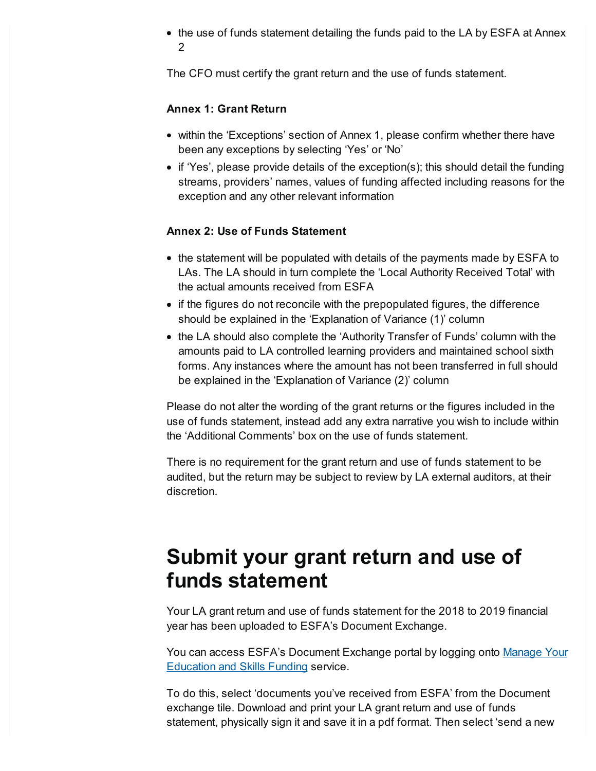the use of funds statement detailing the funds paid to the LA by ESFA at Annex 2

The CFO must certify the grant return and the use of funds statement.

#### **Annex 1: Grant Return**

- within the 'Exceptions' section of Annex 1, please confirm whether there have been any exceptions by selecting 'Yes' or 'No'
- $\bullet$  if 'Yes', please provide details of the exception(s); this should detail the funding streams, providers' names, values of funding affected including reasons for the exception and any other relevant information

#### **Annex 2: Use of Funds Statement**

- the statement will be populated with details of the payments made by ESFA to LAs. The LA should in turn complete the 'Local Authority Received Total' with the actual amounts received from ESFA
- if the figures do not reconcile with the prepopulated figures, the difference should be explained in the 'Explanation of Variance (1)' column
- the LA should also complete the 'Authority Transfer of Funds' column with the amounts paid to LA controlled learning providers and maintained school sixth forms. Any instances where the amount has not been transferred in full should be explained in the 'Explanation of Variance (2)' column

Please do not alter the wording of the grant returns or the figures included in the use of funds statement, instead add any extra narrative you wish to include within the 'Additional Comments' box on the use of funds statement.

There is no requirement for the grant return and use of funds statement to be audited, but the return may be subject to review by LA external auditors, at their discretion.

# <span id="page-1-0"></span>**Submit your grant return and use of funds statement**

Your LA grant return and use of funds statement for the 2018 to 2019 financial year has been uploaded to ESFA's Document Exchange.

You can access ESFA's [Document](https://skillsfunding.service.gov.uk/) Exchange portal by logging onto <u>Manage Your</u> **Education and Skills Funding service.** 

To do this, select 'documents you've received from ESFA' from the Document exchange tile. Download and print your LA grant return and use of funds statement, physically sign it and save it in a pdf format. Then select 'send a new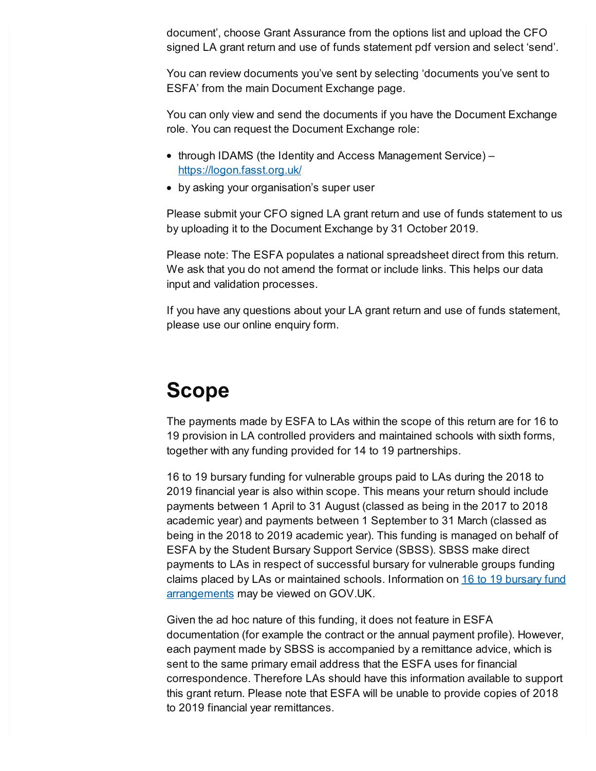document', choose Grant Assurance from the options list and upload the CFO signed LA grant return and use of funds statement pdf version and select 'send'.

You can review documents you've sent by selecting 'documents you've sent to ESFA' from the main Document Exchange page.

You can only view and send the documents if you have the Document Exchange role. You can request the Document Exchange role:

- through IDAMS (the Identity and Access Management Service) <https://logon.fasst.org.uk/>
- by asking your organisation's super user

Please submit your CFO signed LA grant return and use of funds statement to us by uploading it to the Document Exchange by 31 October 2019.

Please note: The ESFA populates a national spreadsheet direct from this return. We ask that you do not amend the format or include links. This helps our data input and validation processes.

If you have any questions about your LA grant return and use of funds statement, please use our online enquiry form.

# <span id="page-2-0"></span>**Scope**

The payments made by ESFA to LAs within the scope of this return are for 16 to 19 provision in LA controlled providers and maintained schools with sixth forms, together with any funding provided for 14 to 19 partnerships.

16 to 19 bursary funding for vulnerable groups paid to LAs during the 2018 to 2019 financial year is also within scope. This means your return should include payments between 1 April to 31 August (classed as being in the 2017 to 2018 academic year) and payments between 1 September to 31 March (classed as being in the 2018 to 2019 academic year). This funding is managed on behalf of ESFA by the Student Bursary Support Service (SBSS). SBSS make direct payments to LAs in respect of successful bursary for vulnerable groups funding claims placed by LAs or maintained schools. Information on 16 to 19 bursary fund [arrangements](https://www.gov.uk/guidance/16-to-19-bursary-fund-guide-2019-to-2020-academic-year) may be viewed on GOV.UK.

Given the ad hoc nature of this funding, it does not feature in ESFA documentation (for example the contract or the annual payment profile). However, each payment made by SBSS is accompanied by a remittance advice, which is sent to the same primary email address that the ESFA uses for financial correspondence. Therefore LAs should have this information available to support this grant return. Please note that ESFA will be unable to provide copies of 2018 to 2019 financial year remittances.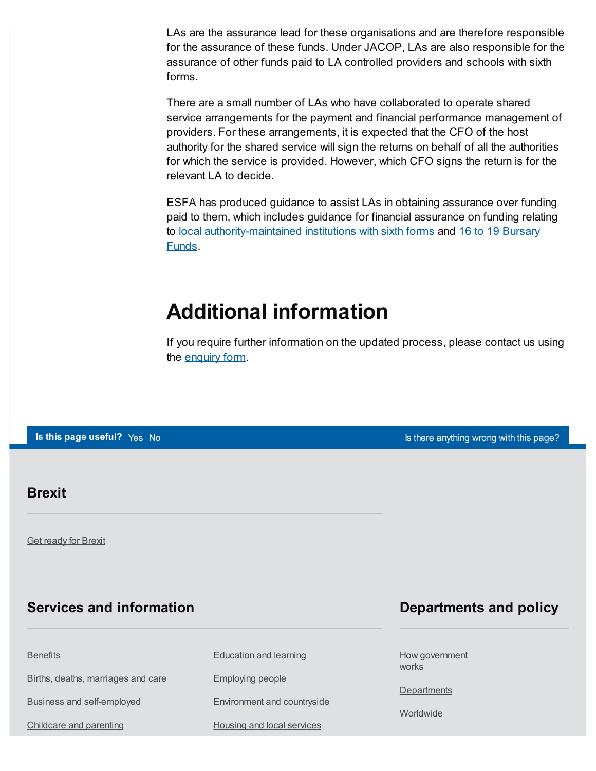LAs are the assurance lead for these organisations and are therefore responsible for the assurance of these funds. Under JACOP, LAs are also responsible for the assurance of other funds paid to LA controlled providers and schools with sixth forms.

There are a small number of LAs who have collaborated to operate shared service arrangements for the payment and financial performance management of providers. For these arrangements, it is expected that the CFO of the host authority for the shared service will sign the returns on behalf of all the authorities for which the service is provided. However, which CFO signs the return is for the relevant LA to decide.

ESFA has produced guidance to assist LAs in obtaining assurance over funding paid to them, which includes guidance for financial assurance on funding relating to local [authority-maintained](https://www.gov.uk/1619-bursary-fund) institutions with sixth forms and 16 to 19 Bursary Funds.

# <span id="page-3-0"></span>**Additional information**

If you require further information on the updated process, please contact us using the [enquiry](https://form.education.gov.uk/fillform.php?self=1&form_id=HR41uA2F8Dh&type=form&ShowMsg=1&form_name=Knowledge+centre+enquiry+form&noRegister=false&ret=/module/services&noLoginPrompt=1) form.

**Is this page useful?** [Yes](https://www.gov.uk/contact/govuk) [No](https://www.gov.uk/contact/govuk) Is the Table 1 and Table 1 and Table 1 and Table 1 and Is there [anything](https://www.gov.uk/contact/govuk) wrong with this page?

#### **Brexit**

**Get [ready](https://www.gov.uk/brexit) for Brexit** 

### **Services and information**

**[Benefits](https://www.gov.uk/browse/benefits)** 

Births, deaths, [marriages](https://www.gov.uk/browse/births-deaths-marriages) and care

Business and [self-employed](https://www.gov.uk/browse/business)

[Childcare](https://www.gov.uk/browse/childcare-parenting) and parenting

[Education](https://www.gov.uk/browse/education) and learning

[Employing](https://www.gov.uk/browse/employing-people) people

[Environment](https://www.gov.uk/browse/environment-countryside) and countryside

Housing and local [services](https://www.gov.uk/browse/housing-local-services)

### **Departments and policy**

How [government](https://www.gov.uk/government/how-government-works) works

**[Departments](https://www.gov.uk/government/organisations)** 

**[Worldwide](https://www.gov.uk/world)**